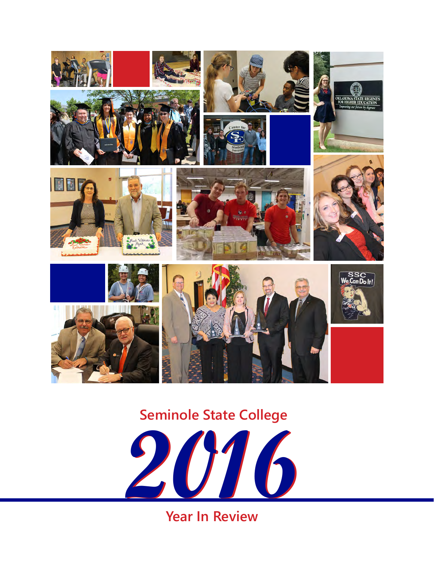

## **Seminole State College**



**Year In Review**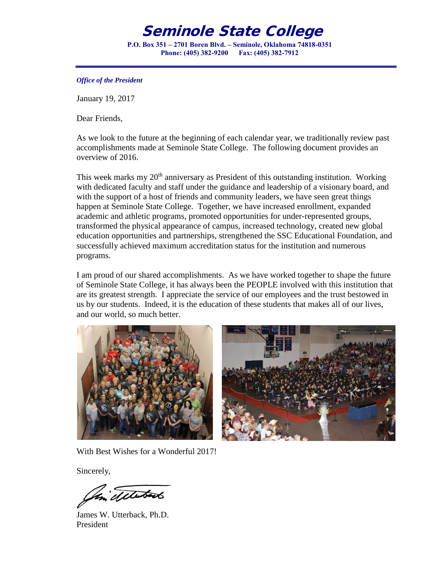### Seminole State College

**P.O. Box 351 – 2701 Boren Blvd. – Seminole, Oklahoma 74818-0351 Phone: (405) 382-9200 Fax: (405) 382-7912** 

#### *Office of the President*

January 19, 2017

Dear Friends,

As we look to the future at the beginning of each calendar year, we traditionally review past accomplishments made at Seminole State College. The following document provides an overview of 2016.

This week marks my  $20<sup>th</sup>$  anniversary as President of this outstanding institution. Working with dedicated faculty and staff under the guidance and leadership of a visionary board, and with the support of a host of friends and community leaders, we have seen great things happen at Seminole State College. Together, we have increased enrollment, expanded academic and athletic programs, promoted opportunities for under-represented groups, transformed the physical appearance of campus, increased technology, created new global education opportunities and partnerships, strengthened the SSC Educational Foundation, and successfully achieved maximum accreditation status for the institution and numerous programs.

I am proud of our shared accomplishments. As we have worked together to shape the future of Seminole State College, it has always been the PEOPLE involved with this institution that are its greatest strength. I appreciate the service of our employees and the trust bestowed in us by our students. Indeed, it is the education of these students that makes all of our lives, and our world, so much better.





With Best Wishes for a Wonderful 2017!

Sincerely,

detatado

James W. Utterback, Ph.D. President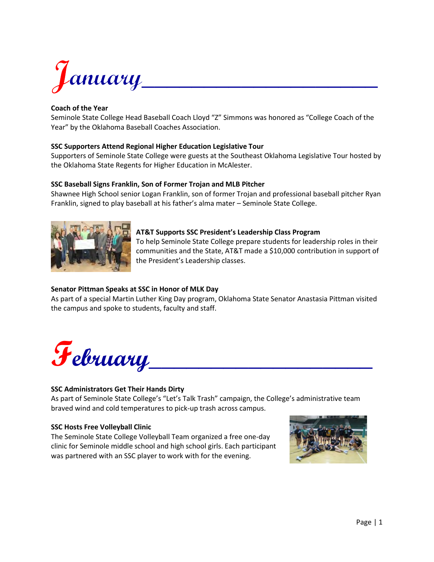

#### **Coach of the Year**

Seminole State College Head Baseball Coach Lloyd "Z" Simmons was honored as "College Coach of the Year" by the Oklahoma Baseball Coaches Association.

#### **SSC Supporters Attend Regional Higher Education Legislative Tour**

Supporters of Seminole State College were guests at the Southeast Oklahoma Legislative Tour hosted by the Oklahoma State Regents for Higher Education in McAlester.

#### **SSC Baseball Signs Franklin, Son of Former Trojan and MLB Pitcher**

Shawnee High School senior Logan Franklin, son of former Trojan and professional baseball pitcher Ryan Franklin, signed to play baseball at his father's alma mater – Seminole State College.



#### **AT&T Supports SSC President's Leadership Class Program**

To help Seminole State College prepare students for leadership roles in their communities and the State, AT&T made a \$10,000 contribution in support of the President's Leadership classes.

#### **Senator Pittman Speaks at SSC in Honor of MLK Day**

As part of a special Martin Luther King Day program, Oklahoma State Senator Anastasia Pittman visited the campus and spoke to students, faculty and staff.



#### **SSC Administrators Get Their Hands Dirty**

As part of Seminole State College's "Let's Talk Trash" campaign, the College's administrative team braved wind and cold temperatures to pick-up trash across campus.

#### **SSC Hosts Free Volleyball Clinic**

The Seminole State College Volleyball Team organized a free one-day clinic for Seminole middle school and high school girls. Each participant was partnered with an SSC player to work with for the evening.

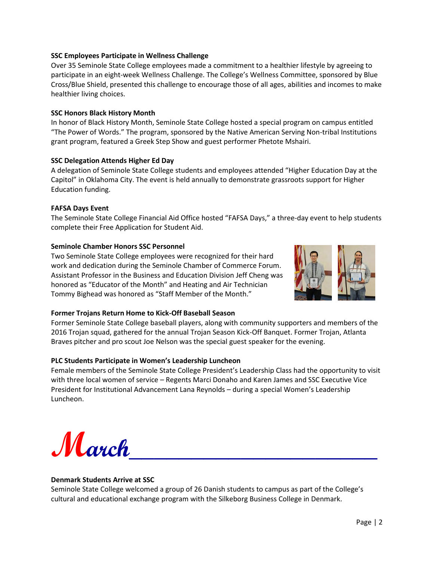#### **SSC Employees Participate in Wellness Challenge**

Over 35 Seminole State College employees made a commitment to a healthier lifestyle by agreeing to participate in an eight-week Wellness Challenge. The College's Wellness Committee, sponsored by Blue Cross/Blue Shield, presented this challenge to encourage those of all ages, abilities and incomes to make healthier living choices.

#### **SSC Honors Black History Month**

In honor of Black History Month, Seminole State College hosted a special program on campus entitled "The Power of Words." The program, sponsored by the Native American Serving Non-tribal Institutions grant program, featured a Greek Step Show and guest performer Phetote Mshairi.

#### **SSC Delegation Attends Higher Ed Day**

A delegation of Seminole State College students and employees attended "Higher Education Day at the Capitol" in Oklahoma City. The event is held annually to demonstrate grassroots support for Higher Education funding.

#### **FAFSA Days Event**

The Seminole State College Financial Aid Office hosted "FAFSA Days," a three-day event to help students complete their Free Application for Student Aid.

#### **Seminole Chamber Honors SSC Personnel**

Two Seminole State College employees were recognized for their hard work and dedication during the Seminole Chamber of Commerce Forum. Assistant Professor in the Business and Education Division Jeff Cheng was honored as "Educator of the Month" and Heating and Air Technician Tommy Bighead was honored as "Staff Member of the Month."



#### **Former Trojans Return Home to Kick-Off Baseball Season**

Former Seminole State College baseball players, along with community supporters and members of the 2016 Trojan squad, gathered for the annual Trojan Season Kick-Off Banquet. Former Trojan, Atlanta Braves pitcher and pro scout Joe Nelson was the special guest speaker for the evening.

#### **PLC Students Participate in Women's Leadership Luncheon**

Female members of the Seminole State College President's Leadership Class had the opportunity to visit with three local women of service – Regents Marci Donaho and Karen James and SSC Executive Vice President for Institutional Advancement Lana Reynolds – during a special Women's Leadership Luncheon.

 $M$ arch

#### **Denmark Students Arrive at SSC**

Seminole State College welcomed a group of 26 Danish students to campus as part of the College's cultural and educational exchange program with the Silkeborg Business College in Denmark.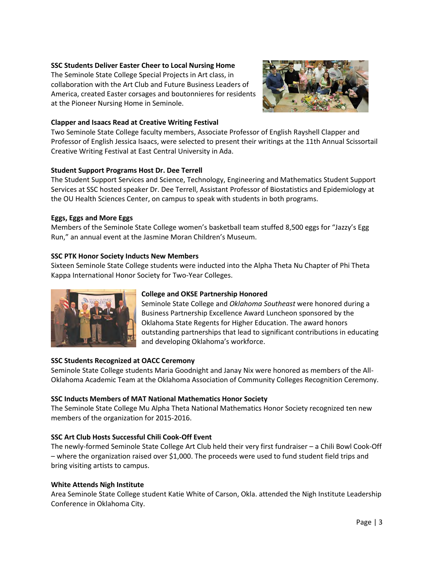#### **SSC Students Deliver Easter Cheer to Local Nursing Home**

The Seminole State College Special Projects in Art class, in collaboration with the Art Club and Future Business Leaders of America, created Easter corsages and boutonnieres for residents at the Pioneer Nursing Home in Seminole.



#### **Clapper and Isaacs Read at Creative Writing Festival**

Two Seminole State College faculty members, Associate Professor of English Rayshell Clapper and Professor of English Jessica Isaacs, were selected to present their writings at the 11th Annual Scissortail Creative Writing Festival at East Central University in Ada.

#### **Student Support Programs Host Dr. Dee Terrell**

The Student Support Services and Science, Technology, Engineering and Mathematics Student Support Services at SSC hosted speaker Dr. Dee Terrell, Assistant Professor of Biostatistics and Epidemiology at the OU Health Sciences Center, on campus to speak with students in both programs.

#### **Eggs, Eggs and More Eggs**

Members of the Seminole State College women's basketball team stuffed 8,500 eggs for "Jazzy's Egg Run," an annual event at the Jasmine Moran Children's Museum.

#### **SSC PTK Honor Society Inducts New Members**

Sixteen Seminole State College students were inducted into the Alpha Theta Nu Chapter of Phi Theta Kappa International Honor Society for Two-Year Colleges.



#### **College and OKSE Partnership Honored**

Seminole State College and *Oklahoma Southeast* were honored during a Business Partnership Excellence Award Luncheon sponsored by the Oklahoma State Regents for Higher Education. The award honors outstanding partnerships that lead to significant contributions in educating and developing Oklahoma's workforce.

#### **SSC Students Recognized at OACC Ceremony**

Seminole State College students Maria Goodnight and Janay Nix were honored as members of the All-Oklahoma Academic Team at the Oklahoma Association of Community Colleges Recognition Ceremony.

#### **SSC Inducts Members of MAT National Mathematics Honor Society**

The Seminole State College Mu Alpha Theta National Mathematics Honor Society recognized ten new members of the organization for 2015-2016.

#### **SSC Art Club Hosts Successful Chili Cook-Off Event**

The newly-formed Seminole State College Art Club held their very first fundraiser – a Chili Bowl Cook-Off – where the organization raised over \$1,000. The proceeds were used to fund student field trips and bring visiting artists to campus.

#### **White Attends Nigh Institute**

Area Seminole State College student Katie White of Carson, Okla. attended the Nigh Institute Leadership Conference in Oklahoma City.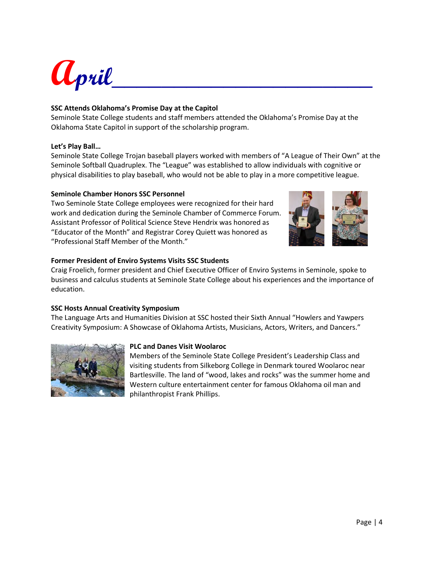

#### **SSC Attends Oklahoma's Promise Day at the Capitol**

Seminole State College students and staff members attended the Oklahoma's Promise Day at the Oklahoma State Capitol in support of the scholarship program.

#### **Let's Play Ball…**

Seminole State College Trojan baseball players worked with members of "A League of Their Own" at the Seminole Softball Quadruplex. The "League" was established to allow individuals with cognitive or physical disabilities to play baseball, who would not be able to play in a more competitive league.

#### **Seminole Chamber Honors SSC Personnel**

Two Seminole State College employees were recognized for their hard work and dedication during the Seminole Chamber of Commerce Forum. Assistant Professor of Political Science Steve Hendrix was honored as "Educator of the Month" and Registrar Corey Quiett was honored as "Professional Staff Member of the Month."



#### **Former President of Enviro Systems Visits SSC Students**

Craig Froelich, former president and Chief Executive Officer of Enviro Systems in Seminole, spoke to business and calculus students at Seminole State College about his experiences and the importance of education.

#### **SSC Hosts Annual Creativity Symposium**

The Language Arts and Humanities Division at SSC hosted their Sixth Annual "Howlers and Yawpers Creativity Symposium: A Showcase of Oklahoma Artists, Musicians, Actors, Writers, and Dancers."



#### **PLC and Danes Visit Woolaroc**

Members of the Seminole State College President's Leadership Class and visiting students from Silkeborg College in Denmark toured Woolaroc near Bartlesville. The land of "wood, lakes and rocks" was the summer home and Western culture entertainment center for famous Oklahoma oil man and philanthropist Frank Phillips.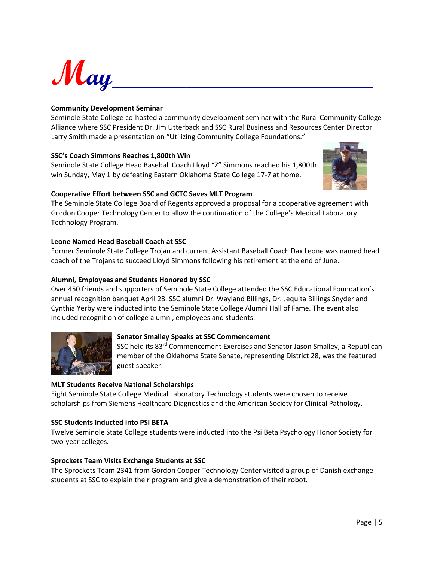$\mathcal{M}_{\mathit{ay}}$ 

#### **Community Development Seminar**

Seminole State College co-hosted a community development seminar with the Rural Community College Alliance where SSC President Dr. Jim Utterback and SSC Rural Business and Resources Center Director Larry Smith made a presentation on "Utilizing Community College Foundations."

#### **SSC's Coach Simmons Reaches 1,800th Win**

Seminole State College Head Baseball Coach Lloyd "Z" Simmons reached his 1,800th win Sunday, May 1 by defeating Eastern Oklahoma State College 17-7 at home.



#### **Cooperative Effort between SSC and GCTC Saves MLT Program**

The Seminole State College Board of Regents approved a proposal for a cooperative agreement with Gordon Cooper Technology Center to allow the continuation of the College's Medical Laboratory Technology Program.

#### **Leone Named Head Baseball Coach at SSC**

Former Seminole State College Trojan and current Assistant Baseball Coach Dax Leone was named head coach of the Trojans to succeed Lloyd Simmons following his retirement at the end of June.

#### **Alumni, Employees and Students Honored by SSC**

Over 450 friends and supporters of Seminole State College attended the SSC Educational Foundation's annual recognition banquet April 28. SSC alumni Dr. Wayland Billings, Dr. Jequita Billings Snyder and Cynthia Yerby were inducted into the Seminole State College Alumni Hall of Fame. The event also included recognition of college alumni, employees and students.



#### **Senator Smalley Speaks at SSC Commencement**

SSC held its 83<sup>rd</sup> Commencement Exercises and Senator Jason Smalley, a Republican member of the Oklahoma State Senate, representing District 28, was the featured guest speaker.

#### **MLT Students Receive National Scholarships**

Eight Seminole State College Medical Laboratory Technology students were chosen to receive scholarships from Siemens Healthcare Diagnostics and the American Society for Clinical Pathology.

#### **SSC Students Inducted into PSI BETA**

Twelve Seminole State College students were inducted into the Psi Beta Psychology Honor Society for two-year colleges.

#### **Sprockets Team Visits Exchange Students at SSC**

The Sprockets Team 2341 from Gordon Cooper Technology Center visited a group of Danish exchange students at SSC to explain their program and give a demonstration of their robot.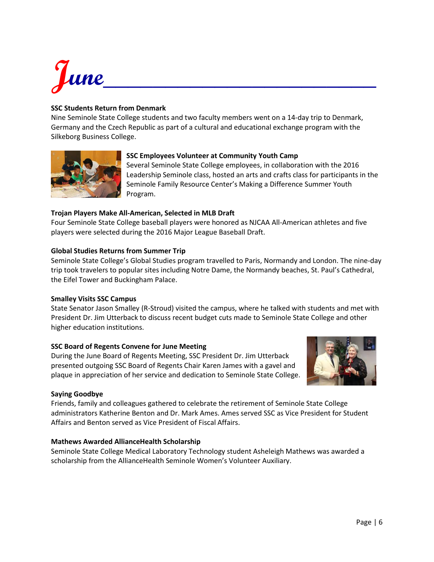# $J$ une $\qquad \qquad \qquad$

#### **SSC Students Return from Denmark**

Nine Seminole State College students and two faculty members went on a 14-day trip to Denmark, Germany and the Czech Republic as part of a cultural and educational exchange program with the Silkeborg Business College.



#### **SSC Employees Volunteer at Community Youth Camp**

Several Seminole State College employees, in collaboration with the 2016 Leadership Seminole class, hosted an arts and crafts class for participants in the Seminole Family Resource Center's Making a Difference Summer Youth Program.

#### **Trojan Players Make All-American, Selected in MLB Draft**

Four Seminole State College baseball players were honored as NJCAA All-American athletes and five players were selected during the 2016 Major League Baseball Draft.

#### **Global Studies Returns from Summer Trip**

Seminole State College's Global Studies program travelled to Paris, Normandy and London. The nine-day trip took travelers to popular sites including Notre Dame, the Normandy beaches, St. Paul's Cathedral, the Eifel Tower and Buckingham Palace.

#### **Smalley Visits SSC Campus**

State Senator Jason Smalley (R-Stroud) visited the campus, where he talked with students and met with President Dr. Jim Utterback to discuss recent budget cuts made to Seminole State College and other higher education institutions.

#### **SSC Board of Regents Convene for June Meeting**

During the June Board of Regents Meeting, SSC President Dr. Jim Utterback presented outgoing SSC Board of Regents Chair Karen James with a gavel and plaque in appreciation of her service and dedication to Seminole State College.



#### **Saying Goodbye**

Friends, family and colleagues gathered to celebrate the retirement of Seminole State College administrators Katherine Benton and Dr. Mark Ames. Ames served SSC as Vice President for Student Affairs and Benton served as Vice President of Fiscal Affairs.

#### **Mathews Awarded AllianceHealth Scholarship**

Seminole State College Medical Laboratory Technology student Asheleigh Mathews was awarded a scholarship from the AllianceHealth Seminole Women's Volunteer Auxiliary.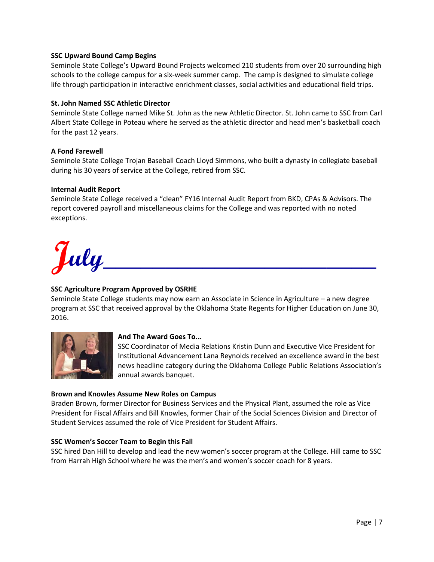#### **SSC Upward Bound Camp Begins**

Seminole State College's Upward Bound Projects welcomed 210 students from over 20 surrounding high schools to the college campus for a six-week summer camp. The camp is designed to simulate college life through participation in interactive enrichment classes, social activities and educational field trips.

#### **St. John Named SSC Athletic Director**

Seminole State College named Mike St. John as the new Athletic Director. St. John came to SSC from Carl Albert State College in Poteau where he served as the athletic director and head men's basketball coach for the past 12 years.

#### **A Fond Farewell**

Seminole State College Trojan Baseball Coach Lloyd Simmons, who built a dynasty in collegiate baseball during his 30 years of service at the College, retired from SSC.

#### **Internal Audit Report**

Seminole State College received a "clean" FY16 Internal Audit Report from BKD, CPAs & Advisors. The report covered payroll and miscellaneous claims for the College and was reported with no noted exceptions.

 $J_{ully}\_$ 

#### **SSC Agriculture Program Approved by OSRHE**

Seminole State College students may now earn an Associate in Science in Agriculture – a new degree program at SSC that received approval by the Oklahoma State Regents for Higher Education on June 30, 2016.



#### **And The Award Goes To...**

SSC Coordinator of Media Relations Kristin Dunn and Executive Vice President for Institutional Advancement Lana Reynolds received an excellence award in the best news headline category during the Oklahoma College Public Relations Association's annual awards banquet.

#### **Brown and Knowles Assume New Roles on Campus**

Braden Brown, former Director for Business Services and the Physical Plant, assumed the role as Vice President for Fiscal Affairs and Bill Knowles, former Chair of the Social Sciences Division and Director of Student Services assumed the role of Vice President for Student Affairs.

#### **SSC Women's Soccer Team to Begin this Fall**

SSC hired Dan Hill to develop and lead the new women's soccer program at the College. Hill came to SSC from Harrah High School where he was the men's and women's soccer coach for 8 years.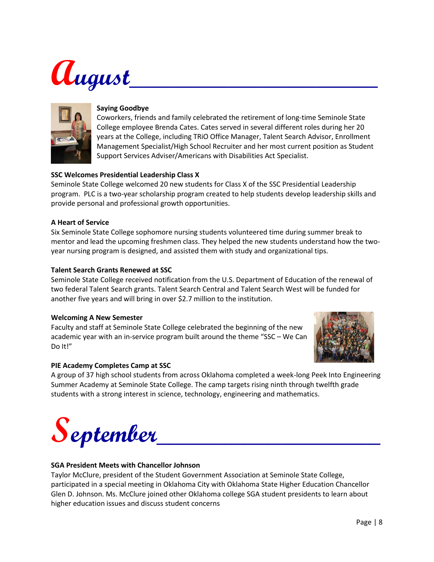## **August\_\_\_\_\_\_\_\_\_\_\_\_\_\_\_\_\_\_\_\_**



#### **Saying Goodbye**

Coworkers, friends and family celebrated the retirement of long-time Seminole State College employee Brenda Cates. Cates served in several different roles during her 20 years at the College, including TRiO Office Manager, Talent Search Advisor, Enrollment Management Specialist/High School Recruiter and her most current position as Student Support Services Adviser/Americans with Disabilities Act Specialist.

#### **SSC Welcomes Presidential Leadership Class X**

Seminole State College welcomed 20 new students for Class X of the SSC Presidential Leadership program. PLC is a two-year scholarship program created to help students develop leadership skills and provide personal and professional growth opportunities.

#### **A Heart of Service**

Six Seminole State College sophomore nursing students volunteered time during summer break to mentor and lead the upcoming freshmen class. They helped the new students understand how the twoyear nursing program is designed, and assisted them with study and organizational tips.

#### **Talent Search Grants Renewed at SSC**

Seminole State College received notification from the U.S. Department of Education of the renewal of two federal Talent Search grants. Talent Search Central and Talent Search West will be funded for another five years and will bring in over \$2.7 million to the institution.

#### **Welcoming A New Semester**

Faculty and staff at Seminole State College celebrated the beginning of the new academic year with an in-service program built around the theme "SSC – We Can Do It!"



#### **PIE Academy Completes Camp at SSC**

A group of 37 high school students from across Oklahoma completed a week-long Peek Into Engineering Summer Academy at Seminole State College. The camp targets rising ninth through twelfth grade students with a strong interest in science, technology, engineering and mathematics.

 $S$ **eptember** 

#### **SGA President Meets with Chancellor Johnson**

Taylor McClure, president of the Student Government Association at Seminole State College, participated in a special meeting in Oklahoma City with Oklahoma State Higher Education Chancellor Glen D. Johnson. Ms. McClure joined other Oklahoma college SGA student presidents to learn about higher education issues and discuss student concerns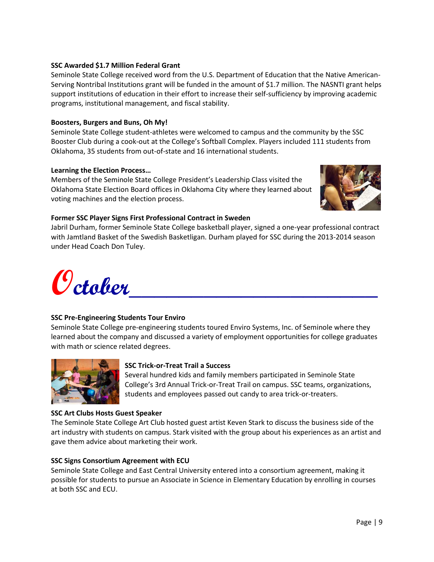#### **SSC Awarded \$1.7 Million Federal Grant**

Seminole State College received word from the U.S. Department of Education that the Native American-Serving Nontribal Institutions grant will be funded in the amount of \$1.7 million. The NASNTI grant helps support institutions of education in their effort to increase their self-sufficiency by improving academic programs, institutional management, and fiscal stability.

#### **Boosters, Burgers and Buns, Oh My!**

Seminole State College student-athletes were welcomed to campus and the community by the SSC Booster Club during a cook-out at the College's Softball Complex. Players included 111 students from Oklahoma, 35 students from out-of-state and 16 international students.

#### **Learning the Election Process…**

Members of the Seminole State College President's Leadership Class visited the Oklahoma State Election Board offices in Oklahoma City where they learned about voting machines and the election process.



#### **Former SSC Player Signs First Professional Contract in Sweden**

Jabril Durham, former Seminole State College basketball player, signed a one-year professional contract with Jamtland Basket of the Swedish Basketligan. Durham played for SSC during the 2013-2014 season under Head Coach Don Tuley.



#### **SSC Pre-Engineering Students Tour Enviro**

Seminole State College pre-engineering students toured Enviro Systems, Inc. of Seminole where they learned about the company and discussed a variety of employment opportunities for college graduates with math or science related degrees.



#### **SSC Trick-or-Treat Trail a Success**

Several hundred kids and family members participated in Seminole State College's 3rd Annual Trick-or-Treat Trail on campus. SSC teams, organizations, students and employees passed out candy to area trick-or-treaters.

#### **SSC Art Clubs Hosts Guest Speaker**

The Seminole State College Art Club hosted guest artist Keven Stark to discuss the business side of the art industry with students on campus. Stark visited with the group about his experiences as an artist and gave them advice about marketing their work.

#### **SSC Signs Consortium Agreement with ECU**

Seminole State College and East Central University entered into a consortium agreement, making it possible for students to pursue an Associate in Science in Elementary Education by enrolling in courses at both SSC and ECU.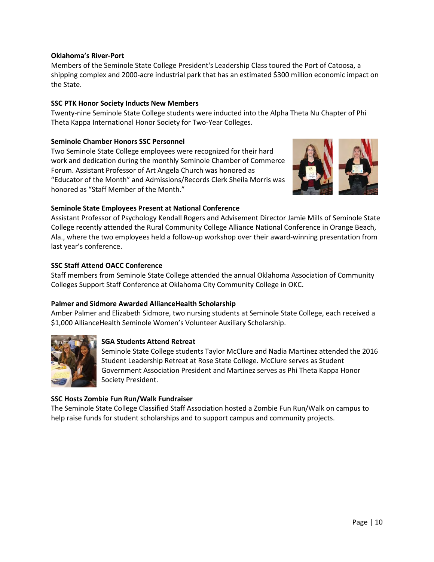#### **Oklahoma's River-Port**

Members of the Seminole State College President's Leadership Class toured the Port of Catoosa, a shipping complex and 2000-acre industrial park that has an estimated \$300 million economic impact on the State.

#### **SSC PTK Honor Society Inducts New Members**

Twenty-nine Seminole State College students were inducted into the Alpha Theta Nu Chapter of Phi Theta Kappa International Honor Society for Two-Year Colleges.

#### **Seminole Chamber Honors SSC Personnel**

Two Seminole State College employees were recognized for their hard work and dedication during the monthly Seminole Chamber of Commerce Forum. Assistant Professor of Art Angela Church was honored as "Educator of the Month" and Admissions/Records Clerk Sheila Morris was honored as "Staff Member of the Month."



#### **Seminole State Employees Present at National Conference**

Assistant Professor of Psychology Kendall Rogers and Advisement Director Jamie Mills of Seminole State College recently attended the Rural Community College Alliance National Conference in Orange Beach, Ala., where the two employees held a follow-up workshop over their award-winning presentation from last year's conference.

#### **SSC Staff Attend OACC Conference**

Staff members from Seminole State College attended the annual Oklahoma Association of Community Colleges Support Staff Conference at Oklahoma City Community College in OKC.

#### **Palmer and Sidmore Awarded AllianceHealth Scholarship**

Amber Palmer and Elizabeth Sidmore, two nursing students at Seminole State College, each received a \$1,000 AllianceHealth Seminole Women's Volunteer Auxiliary Scholarship.



#### **SGA Students Attend Retreat**

Seminole State College students Taylor McClure and Nadia Martinez attended the 2016 Student Leadership Retreat at Rose State College. McClure serves as Student Government Association President and Martinez serves as Phi Theta Kappa Honor Society President.

#### **SSC Hosts Zombie Fun Run/Walk Fundraiser**

The Seminole State College Classified Staff Association hosted a Zombie Fun Run/Walk on campus to help raise funds for student scholarships and to support campus and community projects.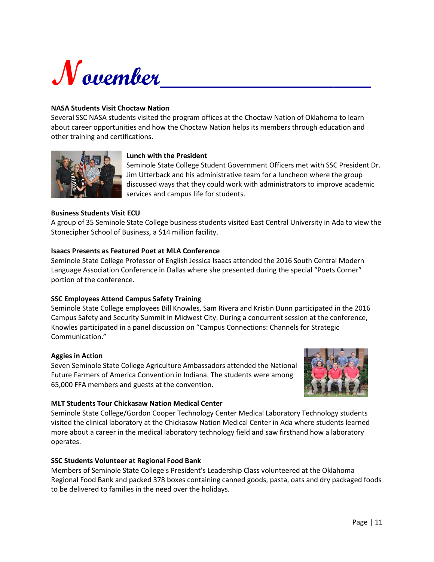

#### **NASA Students Visit Choctaw Nation**

Several SSC NASA students visited the program offices at the Choctaw Nation of Oklahoma to learn about career opportunities and how the Choctaw Nation helps its members through education and other training and certifications.



#### **Lunch with the President**

Seminole State College Student Government Officers met with SSC President Dr. Jim Utterback and his administrative team for a luncheon where the group discussed ways that they could work with administrators to improve academic services and campus life for students.

#### **Business Students Visit ECU**

A group of 35 Seminole State College business students visited East Central University in Ada to view the Stonecipher School of Business, a \$14 million facility.

#### **Isaacs Presents as Featured Poet at MLA Conference**

Seminole State College Professor of English Jessica Isaacs attended the 2016 South Central Modern Language Association Conference in Dallas where she presented during the special "Poets Corner" portion of the conference.

#### **SSC Employees Attend Campus Safety Training**

Seminole State College employees Bill Knowles, Sam Rivera and Kristin Dunn participated in the 2016 Campus Safety and Security Summit in Midwest City. During a concurrent session at the conference, Knowles participated in a panel discussion on "Campus Connections: Channels for Strategic Communication."

#### **Aggies in Action**

Seven Seminole State College Agriculture Ambassadors attended the National Future Farmers of America Convention in Indiana. The students were among 65,000 FFA members and guests at the convention.



#### **MLT Students Tour Chickasaw Nation Medical Center**

Seminole State College/Gordon Cooper Technology Center Medical Laboratory Technology students visited the clinical laboratory at the Chickasaw Nation Medical Center in Ada where students learned more about a career in the medical laboratory technology field and saw firsthand how a laboratory operates.

#### **SSC Students Volunteer at Regional Food Bank**

Members of Seminole State College's President's Leadership Class volunteered at the Oklahoma Regional Food Bank and packed 378 boxes containing canned goods, pasta, oats and dry packaged foods to be delivered to families in the need over the holidays.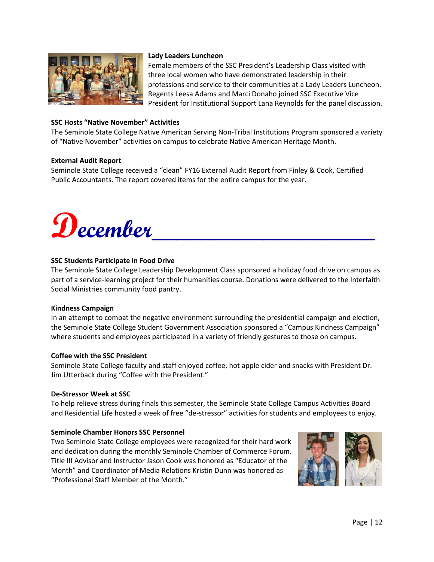

#### **Lady Leaders Luncheon**

Female members of the SSC President's Leadership Class visited with three local women who have demonstrated leadership in their professions and service to their communities at a Lady Leaders Luncheon. Regents Leesa Adams and Marci Donaho joined SSC Executive Vice President for Institutional Support Lana Reynolds for the panel discussion.

#### **SSC Hosts "Native November" Activities**

The Seminole State College Native American Serving Non-Tribal Institutions Program sponsored a variety of "Native November" activities on campus to celebrate Native American Heritage Month.

#### **External Audit Report**

Seminole State College received a "clean" FY16 External Audit Report from Finley & Cook, Certified Public Accountants. The report covered items for the entire campus for the year.



#### **SSC Students Participate in Food Drive**

The Seminole State College Leadership Development Class sponsored a holiday food drive on campus as part of a service-learning project for their humanities course. Donations were delivered to the Interfaith Social Ministries community food pantry.

#### **Kindness Campaign**

In an attempt to combat the negative environment surrounding the presidential campaign and election, the Seminole State College Student Government Association sponsored a "Campus Kindness Campaign" where students and employees participated in a variety of friendly gestures to those on campus.

#### **Coffee with the SSC President**

Seminole State College faculty and staff enjoyed coffee, hot apple cider and snacks with President Dr. Jim Utterback during "Coffee with the President."

#### **De-Stressor Week at SSC**

To help relieve stress during finals this semester, the Seminole State College Campus Activities Board and Residential Life hosted a week of free "de-stressor" activities for students and employees to enjoy.

#### **Seminole Chamber Honors SSC Personnel**

Two Seminole State College employees were recognized for their hard work and dedication during the monthly Seminole Chamber of Commerce Forum. Title III Advisor and Instructor Jason Cook was honored as "Educator of the Month" and Coordinator of Media Relations Kristin Dunn was honored as "Professional Staff Member of the Month."